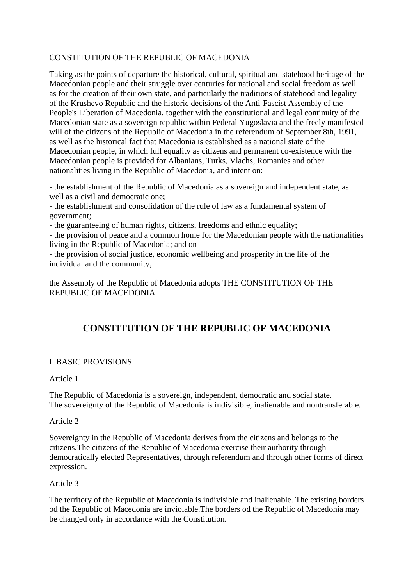### CONSTITUTION OF THE REPUBLIC OF MACEDONIA

Taking as the points of departure the historical, cultural, spiritual and statehood heritage of the Macedonian people and their struggle over centuries for national and social freedom as well as for the creation of their own state, and particularly the traditions of statehood and legality of the Krushevo Republic and the historic decisions of the Anti-Fascist Assembly of the People's Liberation of Macedonia, together with the constitutional and legal continuity of the Macedonian state as a sovereign republic within Federal Yugoslavia and the freely manifested will of the citizens of the Republic of Macedonia in the referendum of September 8th, 1991, as well as the historical fact that Macedonia is established as a national state of the Macedonian people, in which full equality as citizens and permanent co-existence with the Macedonian people is provided for Albanians, Turks, Vlachs, Romanies and other nationalities living in the Republic of Macedonia, and intent on:

- the establishment of the Republic of Macedonia as a sovereign and independent state, as well as a civil and democratic one;

- the establishment and consolidation of the rule of law as a fundamental system of government;

- the guaranteeing of human rights, citizens, freedoms and ethnic equality;

- the provision of peace and a common home for the Macedonian people with the nationalities living in the Republic of Macedonia; and on

- the provision of social justice, economic wellbeing and prosperity in the life of the individual and the community,

the Assembly of the Republic of Macedonia adopts THE CONSTITUTION OF THE REPUBLIC OF MACEDONIA

# **CONSTITUTION OF THE REPUBLIC OF MACEDONIA**

## I. BASIC PROVISIONS

### Article 1

The Republic of Macedonia is a sovereign, independent, democratic and social state. The sovereignty of the Republic of Macedonia is indivisible, inalienable and nontransferable.

### Article 2

Sovereignty in the Republic of Macedonia derives from the citizens and belongs to the citizens.The citizens of the Republic of Macedonia exercise their authority through democratically elected Representatives, through referendum and through other forms of direct expression.

### Article 3

The territory of the Republic of Macedonia is indivisible and inalienable. The existing borders od the Republic of Macedonia are inviolable.The borders od the Republic of Macedonia may be changed only in accordance with the Constitution.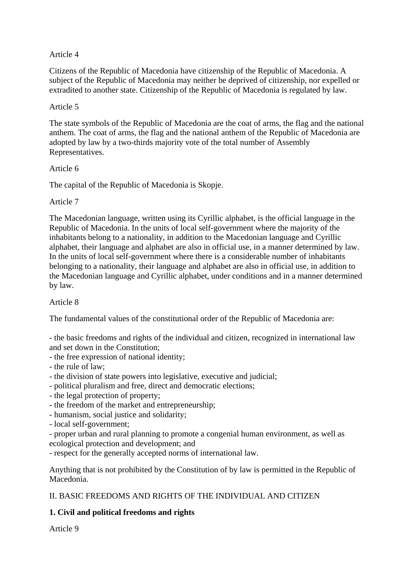## Article 4

Citizens of the Republic of Macedonia have citizenship of the Republic of Macedonia. A subject of the Republic of Macedonia may neither be deprived of citizenship, nor expelled or extradited to another state. Citizenship of the Republic of Macedonia is regulated by law.

### Article 5

The state symbols of the Republic of Macedonia are the coat of arms, the flag and the national anthem. The coat of arms, the flag and the national anthem of the Republic of Macedonia are adopted by law by a two-thirds majority vote of the total number of Assembly Representatives.

### Article 6

The capital of the Republic of Macedonia is Skopje.

### Article 7

The Macedonian language, written using its Cyrillic alphabet, is the official language in the Republic of Macedonia. In the units of local self-government where the majority of the inhabitants belong to a nationality, in addition to the Macedonian language and Cyrillic alphabet, their language and alphabet are also in official use, in a manner determined by law. In the units of local self-government where there is a considerable number of inhabitants belonging to a nationality, their language and alphabet are also in official use, in addition to the Macedonian language and Cyrillic alphabet, under conditions and in a manner determined by law.

### Article 8

The fundamental values of the constitutional order of the Republic of Macedonia are:

- the basic freedoms and rights of the individual and citizen, recognized in international law and set down in the Constitution;

- the free expression of national identity;
- the rule of law;
- the division of state powers into legislative, executive and judicial;
- political pluralism and free, direct and democratic elections;
- the legal protection of property;
- the freedom of the market and entrepreneurship;
- humanism, social justice and solidarity;
- local self-government;

- proper urban and rural planning to promote a congenial human environment, as well as ecological protection and development; and

- respect for the generally accepted norms of international law.

Anything that is not prohibited by the Constitution of by law is permitted in the Republic of Macedonia.

## II. BASIC FREEDOMS AND RIGHTS OF THE INDIVIDUAL AND CITIZEN

## **1. Civil and political freedoms and rights**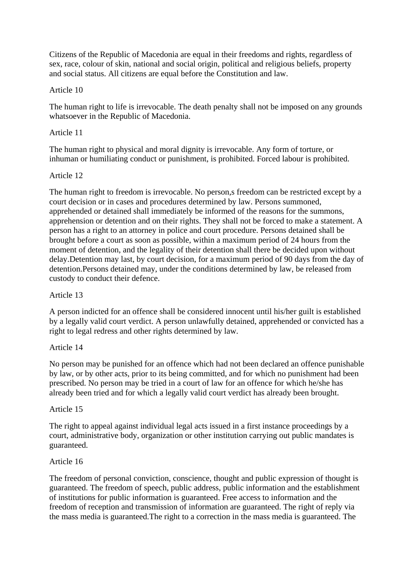Citizens of the Republic of Macedonia are equal in their freedoms and rights, regardless of sex, race, colour of skin, national and social origin, political and religious beliefs, property and social status. All citizens are equal before the Constitution and law.

### Article 10

The human right to life is irrevocable. The death penalty shall not be imposed on any grounds whatsoever in the Republic of Macedonia.

### Article 11

The human right to physical and moral dignity is irrevocable. Any form of torture, or inhuman or humiliating conduct or punishment, is prohibited. Forced labour is prohibited.

### Article 12

The human right to freedom is irrevocable. No person,s freedom can be restricted except by a court decision or in cases and procedures determined by law. Persons summoned, apprehended or detained shall immediately be informed of the reasons for the summons, apprehension or detention and on their rights. They shall not be forced to make a statement. A person has a right to an attorney in police and court procedure. Persons detained shall be brought before a court as soon as possible, within a maximum period of 24 hours from the moment of detention, and the legality of their detention shall there be decided upon without delay.Detention may last, by court decision, for a maximum period of 90 days from the day of detention.Persons detained may, under the conditions determined by law, be released from custody to conduct their defence.

### Article 13

A person indicted for an offence shall be considered innocent until his/her guilt is established by a legally valid court verdict. A person unlawfully detained, apprehended or convicted has a right to legal redress and other rights determined by law.

### Article 14

No person may be punished for an offence which had not been declared an offence punishable by law, or by other acts, prior to its being committed, and for which no punishment had been prescribed. No person may be tried in a court of law for an offence for which he/she has already been tried and for which a legally valid court verdict has already been brought.

### Article 15

The right to appeal against individual legal acts issued in a first instance proceedings by a court, administrative body, organization or other institution carrying out public mandates is guaranteed.

### Article 16

The freedom of personal conviction, conscience, thought and public expression of thought is guaranteed. The freedom of speech, public address, public information and the establishment of institutions for public information is guaranteed. Free access to information and the freedom of reception and transmission of information are guaranteed. The right of reply via the mass media is guaranteed.The right to a correction in the mass media is guaranteed. The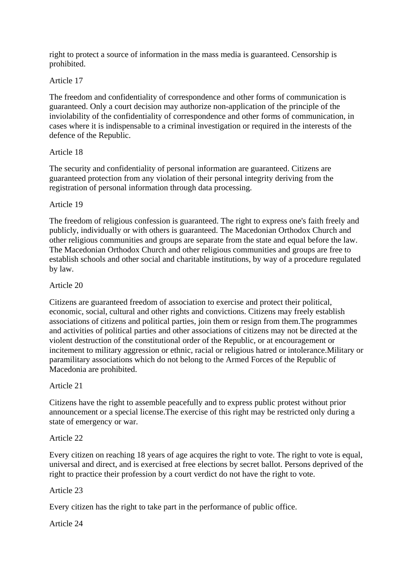right to protect a source of information in the mass media is guaranteed. Censorship is prohibited.

## Article 17

The freedom and confidentiality of correspondence and other forms of communication is guaranteed. Only a court decision may authorize non-application of the principle of the inviolability of the confidentiality of correspondence and other forms of communication, in cases where it is indispensable to a criminal investigation or required in the interests of the defence of the Republic.

## Article 18

The security and confidentiality of personal information are guaranteed. Citizens are guaranteed protection from any violation of their personal integrity deriving from the registration of personal information through data processing.

## Article 19

The freedom of religious confession is guaranteed. The right to express one's faith freely and publicly, individually or with others is guaranteed. The Macedonian Orthodox Church and other religious communities and groups are separate from the state and equal before the law. The Macedonian Orthodox Church and other religious communities and groups are free to establish schools and other social and charitable institutions, by way of a procedure regulated by law.

## Article 20

Citizens are guaranteed freedom of association to exercise and protect their political, economic, social, cultural and other rights and convictions. Citizens may freely establish associations of citizens and political parties, join them or resign from them.The programmes and activities of political parties and other associations of citizens may not be directed at the violent destruction of the constitutional order of the Republic, or at encouragement or incitement to military aggression or ethnic, racial or religious hatred or intolerance.Military or paramilitary associations which do not belong to the Armed Forces of the Republic of Macedonia are prohibited.

## Article 21

Citizens have the right to assemble peacefully and to express public protest without prior announcement or a special license.The exercise of this right may be restricted only during a state of emergency or war.

## Article 22

Every citizen on reaching 18 years of age acquires the right to vote. The right to vote is equal, universal and direct, and is exercised at free elections by secret ballot. Persons deprived of the right to practice their profession by a court verdict do not have the right to vote.

## Article 23

Every citizen has the right to take part in the performance of public office.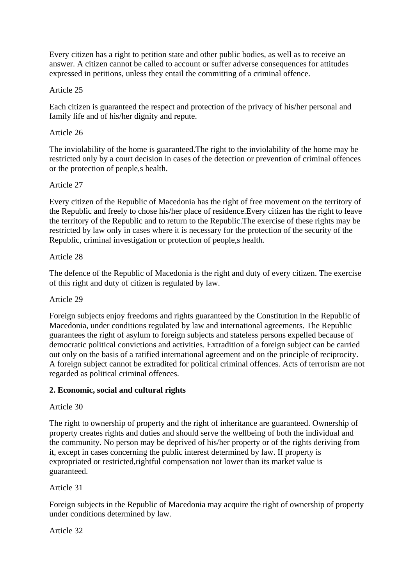Every citizen has a right to petition state and other public bodies, as well as to receive an answer. A citizen cannot be called to account or suffer adverse consequences for attitudes expressed in petitions, unless they entail the committing of a criminal offence.

## Article 25

Each citizen is guaranteed the respect and protection of the privacy of his/her personal and family life and of his/her dignity and repute.

## Article 26

The inviolability of the home is guaranteed.The right to the inviolability of the home may be restricted only by a court decision in cases of the detection or prevention of criminal offences or the protection of people,s health.

## Article 27

Every citizen of the Republic of Macedonia has the right of free movement on the territory of the Republic and freely to chose his/her place of residence.Every citizen has the right to leave the territory of the Republic and to return to the Republic.The exercise of these rights may be restricted by law only in cases where it is necessary for the protection of the security of the Republic, criminal investigation or protection of people,s health.

## Article 28

The defence of the Republic of Macedonia is the right and duty of every citizen. The exercise of this right and duty of citizen is regulated by law.

## Article 29

Foreign subjects enjoy freedoms and rights guaranteed by the Constitution in the Republic of Macedonia, under conditions regulated by law and international agreements. The Republic guarantees the right of asylum to foreign subjects and stateless persons expelled because of democratic political convictions and activities. Extradition of a foreign subject can be carried out only on the basis of a ratified international agreement and on the principle of reciprocity. A foreign subject cannot be extradited for political criminal offences. Acts of terrorism are not regarded as political criminal offences.

# **2. Economic, social and cultural rights**

## Article 30

The right to ownership of property and the right of inheritance are guaranteed. Ownership of property creates rights and duties and should serve the wellbeing of both the individual and the community. No person may be deprived of his/her property or of the rights deriving from it, except in cases concerning the public interest determined by law. If property is expropriated or restricted,rightful compensation not lower than its market value is guaranteed.

## Article 31

Foreign subjects in the Republic of Macedonia may acquire the right of ownership of property under conditions determined by law.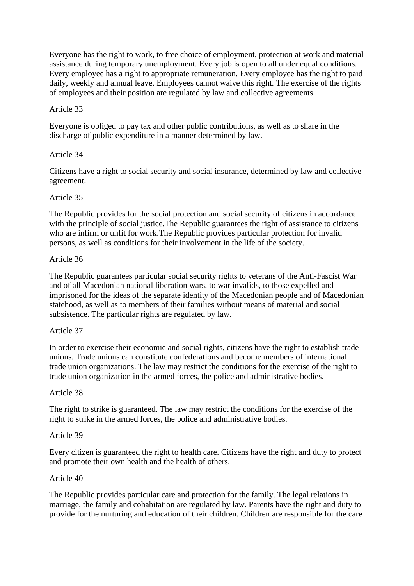Everyone has the right to work, to free choice of employment, protection at work and material assistance during temporary unemployment. Every job is open to all under equal conditions. Every employee has a right to appropriate remuneration. Every employee has the right to paid daily, weekly and annual leave. Employees cannot waive this right. The exercise of the rights of employees and their position are regulated by law and collective agreements.

## Article 33

Everyone is obliged to pay tax and other public contributions, as well as to share in the discharge of public expenditure in a manner determined by law.

## Article 34

Citizens have a right to social security and social insurance, determined by law and collective agreement.

## Article 35

The Republic provides for the social protection and social security of citizens in accordance with the principle of social justice.The Republic guarantees the right of assistance to citizens who are infirm or unfit for work.The Republic provides particular protection for invalid persons, as well as conditions for their involvement in the life of the society.

## Article 36

The Republic guarantees particular social security rights to veterans of the Anti-Fascist War and of all Macedonian national liberation wars, to war invalids, to those expelled and imprisoned for the ideas of the separate identity of the Macedonian people and of Macedonian statehood, as well as to members of their families without means of material and social subsistence. The particular rights are regulated by law.

## Article 37

In order to exercise their economic and social rights, citizens have the right to establish trade unions. Trade unions can constitute confederations and become members of international trade union organizations. The law may restrict the conditions for the exercise of the right to trade union organization in the armed forces, the police and administrative bodies.

## Article 38

The right to strike is guaranteed. The law may restrict the conditions for the exercise of the right to strike in the armed forces, the police and administrative bodies.

## Article 39

Every citizen is guaranteed the right to health care. Citizens have the right and duty to protect and promote their own health and the health of others.

## Article 40

The Republic provides particular care and protection for the family. The legal relations in marriage, the family and cohabitation are regulated by law. Parents have the right and duty to provide for the nurturing and education of their children. Children are responsible for the care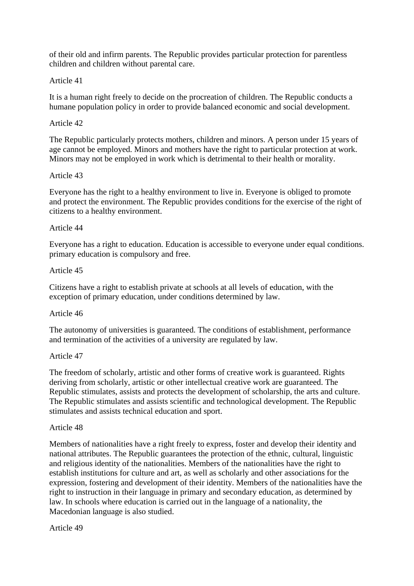of their old and infirm parents. The Republic provides particular protection for parentless children and children without parental care.

### Article 41

It is a human right freely to decide on the procreation of children. The Republic conducts a humane population policy in order to provide balanced economic and social development.

### Article 42

The Republic particularly protects mothers, children and minors. A person under 15 years of age cannot be employed. Minors and mothers have the right to particular protection at work. Minors may not be employed in work which is detrimental to their health or morality.

### Article 43

Everyone has the right to a healthy environment to live in. Everyone is obliged to promote and protect the environment. The Republic provides conditions for the exercise of the right of citizens to a healthy environment.

### Article 44

Everyone has a right to education. Education is accessible to everyone under equal conditions. primary education is compulsory and free.

### Article 45

Citizens have a right to establish private at schools at all levels of education, with the exception of primary education, under conditions determined by law.

### Article 46

The autonomy of universities is guaranteed. The conditions of establishment, performance and termination of the activities of a university are regulated by law.

### Article 47

The freedom of scholarly, artistic and other forms of creative work is guaranteed. Rights deriving from scholarly, artistic or other intellectual creative work are guaranteed. The Republic stimulates, assists and protects the development of scholarship, the arts and culture. The Republic stimulates and assists scientific and technological development. The Republic stimulates and assists technical education and sport.

### Article 48

Members of nationalities have a right freely to express, foster and develop their identity and national attributes. The Republic guarantees the protection of the ethnic, cultural, linguistic and religious identity of the nationalities. Members of the nationalities have the right to establish institutions for culture and art, as well as scholarly and other associations for the expression, fostering and development of their identity. Members of the nationalities have the right to instruction in their language in primary and secondary education, as determined by law. In schools where education is carried out in the language of a nationality, the Macedonian language is also studied.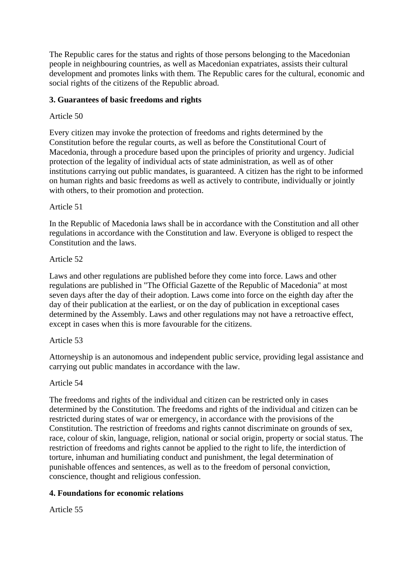The Republic cares for the status and rights of those persons belonging to the Macedonian people in neighbouring countries, as well as Macedonian expatriates, assists their cultural development and promotes links with them. The Republic cares for the cultural, economic and social rights of the citizens of the Republic abroad.

## **3. Guarantees of basic freedoms and rights**

## Article 50

Every citizen may invoke the protection of freedoms and rights determined by the Constitution before the regular courts, as well as before the Constitutional Court of Macedonia, through a procedure based upon the principles of priority and urgency. Judicial protection of the legality of individual acts of state administration, as well as of other institutions carrying out public mandates, is guaranteed. A citizen has the right to be informed on human rights and basic freedoms as well as actively to contribute, individually or jointly with others, to their promotion and protection.

## Article 51

In the Republic of Macedonia laws shall be in accordance with the Constitution and all other regulations in accordance with the Constitution and law. Everyone is obliged to respect the Constitution and the laws.

## Article 52

Laws and other regulations are published before they come into force. Laws and other regulations are published in "The Official Gazette of the Republic of Macedonia" at most seven days after the day of their adoption. Laws come into force on the eighth day after the day of their publication at the earliest, or on the day of publication in exceptional cases determined by the Assembly. Laws and other regulations may not have a retroactive effect, except in cases when this is more favourable for the citizens.

## Article 53

Attorneyship is an autonomous and independent public service, providing legal assistance and carrying out public mandates in accordance with the law.

## Article 54

The freedoms and rights of the individual and citizen can be restricted only in cases determined by the Constitution. The freedoms and rights of the individual and citizen can be restricted during states of war or emergency, in accordance with the provisions of the Constitution. The restriction of freedoms and rights cannot discriminate on grounds of sex, race, colour of skin, language, religion, national or social origin, property or social status. The restriction of freedoms and rights cannot be applied to the right to life, the interdiction of torture, inhuman and humiliating conduct and punishment, the legal determination of punishable offences and sentences, as well as to the freedom of personal conviction, conscience, thought and religious confession.

# **4. Foundations for economic relations**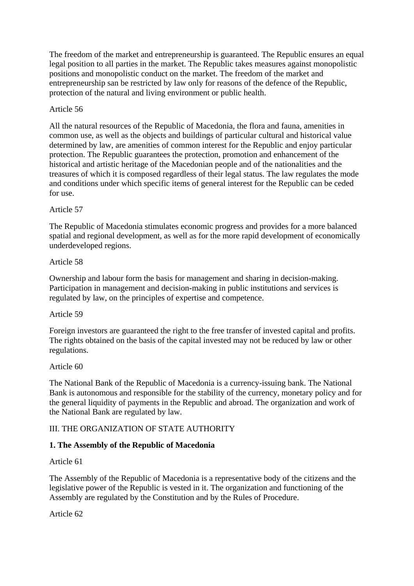The freedom of the market and entrepreneurship is guaranteed. The Republic ensures an equal legal position to all parties in the market. The Republic takes measures against monopolistic positions and monopolistic conduct on the market. The freedom of the market and entrepreneurship san be restricted by law only for reasons of the defence of the Republic, protection of the natural and living environment or public health.

## Article 56

All the natural resources of the Republic of Macedonia, the flora and fauna, amenities in common use, as well as the objects and buildings of particular cultural and historical value determined by law, are amenities of common interest for the Republic and enjoy particular protection. The Republic guarantees the protection, promotion and enhancement of the historical and artistic heritage of the Macedonian people and of the nationalities and the treasures of which it is composed regardless of their legal status. The law regulates the mode and conditions under which specific items of general interest for the Republic can be ceded for use.

## Article 57

The Republic of Macedonia stimulates economic progress and provides for a more balanced spatial and regional development, as well as for the more rapid development of economically underdeveloped regions.

## Article 58

Ownership and labour form the basis for management and sharing in decision-making. Participation in management and decision-making in public institutions and services is regulated by law, on the principles of expertise and competence.

## Article 59

Foreign investors are guaranteed the right to the free transfer of invested capital and profits. The rights obtained on the basis of the capital invested may not be reduced by law or other regulations.

### Article 60

The National Bank of the Republic of Macedonia is a currency-issuing bank. The National Bank is autonomous and responsible for the stability of the currency, monetary policy and for the general liquidity of payments in the Republic and abroad. The organization and work of the National Bank are regulated by law.

## III. THE ORGANIZATION OF STATE AUTHORITY

## **1. The Assembly of the Republic of Macedonia**

## Article 61

The Assembly of the Republic of Macedonia is a representative body of the citizens and the legislative power of the Republic is vested in it. The organization and functioning of the Assembly are regulated by the Constitution and by the Rules of Procedure.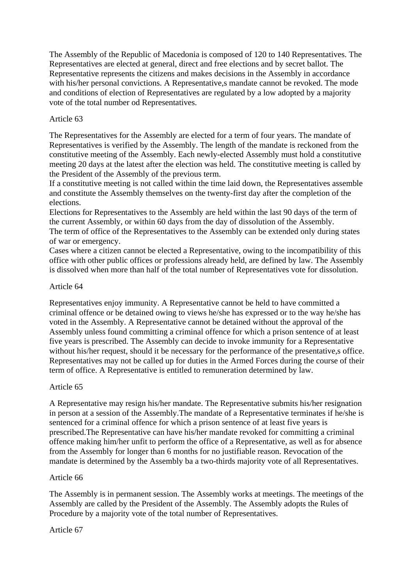The Assembly of the Republic of Macedonia is composed of 120 to 140 Representatives. The Representatives are elected at general, direct and free elections and by secret ballot. The Representative represents the citizens and makes decisions in the Assembly in accordance with his/her personal convictions. A Representative, mandate cannot be revoked. The mode and conditions of election of Representatives are regulated by a low adopted by a majority vote of the total number od Representatives.

## Article 63

The Representatives for the Assembly are elected for a term of four years. The mandate of Representatives is verified by the Assembly. The length of the mandate is reckoned from the constitutive meeting of the Assembly. Each newly-elected Assembly must hold a constitutive meeting 20 days at the latest after the election was held. The constitutive meeting is called by the President of the Assembly of the previous term.

If a constitutive meeting is not called within the time laid down, the Representatives assemble and constitute the Assembly themselves on the twenty-first day after the completion of the elections.

Elections for Representatives to the Assembly are held within the last 90 days of the term of the current Assembly, or within 60 days from the day of dissolution of the Assembly.

The term of office of the Representatives to the Assembly can be extended only during states of war or emergency.

Cases where a citizen cannot be elected a Representative, owing to the incompatibility of this office with other public offices or professions already held, are defined by law. The Assembly is dissolved when more than half of the total number of Representatives vote for dissolution.

## Article 64

Representatives enjoy immunity. A Representative cannot be held to have committed a criminal offence or be detained owing to views he/she has expressed or to the way he/she has voted in the Assembly. A Representative cannot be detained without the approval of the Assembly unless found committing a criminal offence for which a prison sentence of at least five years is prescribed. The Assembly can decide to invoke immunity for a Representative without his/her request, should it be necessary for the performance of the presentative, soffice. Representatives may not be called up for duties in the Armed Forces during the course of their term of office. A Representative is entitled to remuneration determined by law.

## Article 65

A Representative may resign his/her mandate. The Representative submits his/her resignation in person at a session of the Assembly.The mandate of a Representative terminates if he/she is sentenced for a criminal offence for which a prison sentence of at least five years is prescribed.The Representative can have his/her mandate revoked for committing a criminal offence making him/her unfit to perform the office of a Representative, as well as for absence from the Assembly for longer than 6 months for no justifiable reason. Revocation of the mandate is determined by the Assembly ba a two-thirds majority vote of all Representatives.

## Article 66

The Assembly is in permanent session. The Assembly works at meetings. The meetings of the Assembly are called by the President of the Assembly. The Assembly adopts the Rules of Procedure by a majority vote of the total number of Representatives.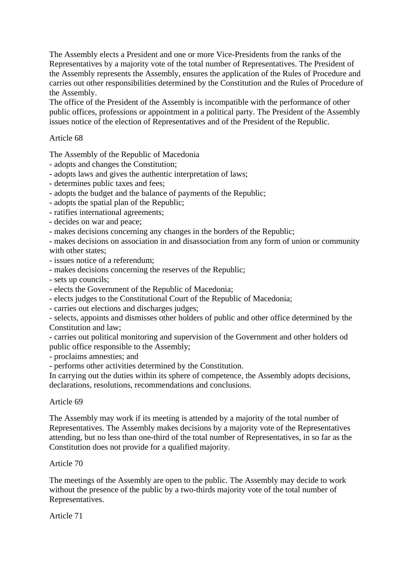The Assembly elects a President and one or more Vice-Presidents from the ranks of the Representatives by a majority vote of the total number of Representatives. The President of the Assembly represents the Assembly, ensures the application of the Rules of Procedure and carries out other responsibilities determined by the Constitution and the Rules of Procedure of the Assembly.

The office of the President of the Assembly is incompatible with the performance of other public offices, professions or appointment in a political party. The President of the Assembly issues notice of the election of Representatives and of the President of the Republic.

### Article 68

The Assembly of the Republic of Macedonia

- adopts and changes the Constitution;
- adopts laws and gives the authentic interpretation of laws;
- determines public taxes and fees;
- adopts the budget and the balance of payments of the Republic;
- adopts the spatial plan of the Republic;
- ratifies international agreements;
- decides on war and peace;
- makes decisions concerning any changes in the borders of the Republic;

- makes decisions on association in and disassociation from any form of union or community with other states;

- issues notice of a referendum;
- makes decisions concerning the reserves of the Republic;
- sets up councils;
- elects the Government of the Republic of Macedonia;
- elects judges to the Constitutional Court of the Republic of Macedonia;
- carries out elections and discharges judges;

- selects, appoints and dismisses other holders of public and other office determined by the Constitution and law;

- carries out political monitoring and supervision of the Government and other holders od public office responsible to the Assembly;

- proclaims amnesties; and
- performs other activities determined by the Constitution.

In carrying out the duties within its sphere of competence, the Assembly adopts decisions, declarations, resolutions, recommendations and conclusions.

### Article 69

The Assembly may work if its meeting is attended by a majority of the total number of Representatives. The Assembly makes decisions by a majority vote of the Representatives attending, but no less than one-third of the total number of Representatives, in so far as the Constitution does not provide for a qualified majority.

### Article 70

The meetings of the Assembly are open to the public. The Assembly may decide to work without the presence of the public by a two-thirds majority vote of the total number of Representatives.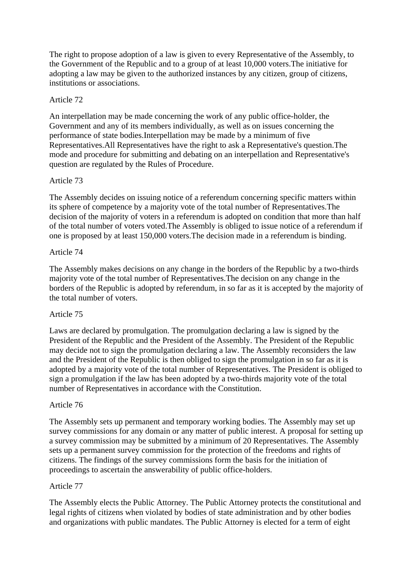The right to propose adoption of a law is given to every Representative of the Assembly, to the Government of the Republic and to a group of at least 10,000 voters.The initiative for adopting a law may be given to the authorized instances by any citizen, group of citizens, institutions or associations.

### Article 72

An interpellation may be made concerning the work of any public office-holder, the Government and any of its members individually, as well as on issues concerning the performance of state bodies.Interpellation may be made by a minimum of five Representatives.All Representatives have the right to ask a Representative's question.The mode and procedure for submitting and debating on an interpellation and Representative's question are regulated by the Rules of Procedure.

### Article 73

The Assembly decides on issuing notice of a referendum concerning specific matters within its sphere of competence by a majority vote of the total number of Representatives.The decision of the majority of voters in a referendum is adopted on condition that more than half of the total number of voters voted.The Assembly is obliged to issue notice of a referendum if one is proposed by at least 150,000 voters.The decision made in a referendum is binding.

### Article 74

The Assembly makes decisions on any change in the borders of the Republic by a two-thirds majority vote of the total number of Representatives.The decision on any change in the borders of the Republic is adopted by referendum, in so far as it is accepted by the majority of the total number of voters.

### Article 75

Laws are declared by promulgation. The promulgation declaring a law is signed by the President of the Republic and the President of the Assembly. The President of the Republic may decide not to sign the promulgation declaring a law. The Assembly reconsiders the law and the President of the Republic is then obliged to sign the promulgation in so far as it is adopted by a majority vote of the total number of Representatives. The President is obliged to sign a promulgation if the law has been adopted by a two-thirds majority vote of the total number of Representatives in accordance with the Constitution.

### Article 76

The Assembly sets up permanent and temporary working bodies. The Assembly may set up survey commissions for any domain or any matter of public interest. A proposal for setting up a survey commission may be submitted by a minimum of 20 Representatives. The Assembly sets up a permanent survey commission for the protection of the freedoms and rights of citizens. The findings of the survey commissions form the basis for the initiation of proceedings to ascertain the answerability of public office-holders.

### Article 77

The Assembly elects the Public Attorney. The Public Attorney protects the constitutional and legal rights of citizens when violated by bodies of state administration and by other bodies and organizations with public mandates. The Public Attorney is elected for a term of eight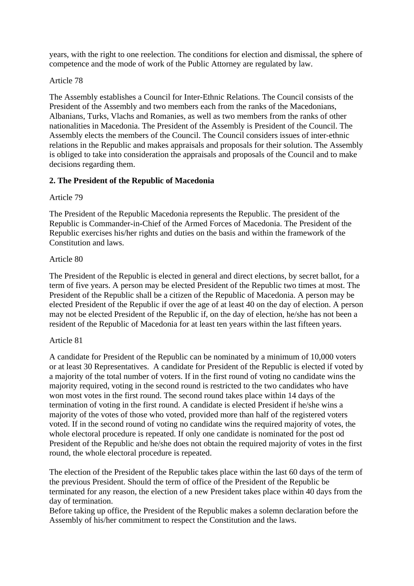years, with the right to one reelection. The conditions for election and dismissal, the sphere of competence and the mode of work of the Public Attorney are regulated by law.

## Article 78

The Assembly establishes a Council for Inter-Ethnic Relations. The Council consists of the President of the Assembly and two members each from the ranks of the Macedonians, Albanians, Turks, Vlachs and Romanies, as well as two members from the ranks of other nationalities in Macedonia. The President of the Assembly is President of the Council. The Assembly elects the members of the Council. The Council considers issues of inter-ethnic relations in the Republic and makes appraisals and proposals for their solution. The Assembly is obliged to take into consideration the appraisals and proposals of the Council and to make decisions regarding them.

## **2. The President of the Republic of Macedonia**

## Article 79

The President of the Republic Macedonia represents the Republic. The president of the Republic is Commander-in-Chief of the Armed Forces of Macedonia. The President of the Republic exercises his/her rights and duties on the basis and within the framework of the Constitution and laws.

### Article 80

The President of the Republic is elected in general and direct elections, by secret ballot, for a term of five years. A person may be elected President of the Republic two times at most. The President of the Republic shall be a citizen of the Republic of Macedonia. A person may be elected President of the Republic if over the age of at least 40 on the day of election. A person may not be elected President of the Republic if, on the day of election, he/she has not been a resident of the Republic of Macedonia for at least ten years within the last fifteen years.

### Article 81

A candidate for President of the Republic can be nominated by a minimum of 10,000 voters or at least 30 Representatives. A candidate for President of the Republic is elected if voted by a majority of the total number of voters. If in the first round of voting no candidate wins the majority required, voting in the second round is restricted to the two candidates who have won most votes in the first round. The second round takes place within 14 days of the termination of voting in the first round. A candidate is elected President if he/she wins a majority of the votes of those who voted, provided more than half of the registered voters voted. If in the second round of voting no candidate wins the required majority of votes, the whole electoral procedure is repeated. If only one candidate is nominated for the post od President of the Republic and he/she does not obtain the required majority of votes in the first round, the whole electoral procedure is repeated.

The election of the President of the Republic takes place within the last 60 days of the term of the previous President. Should the term of office of the President of the Republic be terminated for any reason, the election of a new President takes place within 40 days from the day of termination.

Before taking up office, the President of the Republic makes a solemn declaration before the Assembly of his/her commitment to respect the Constitution and the laws.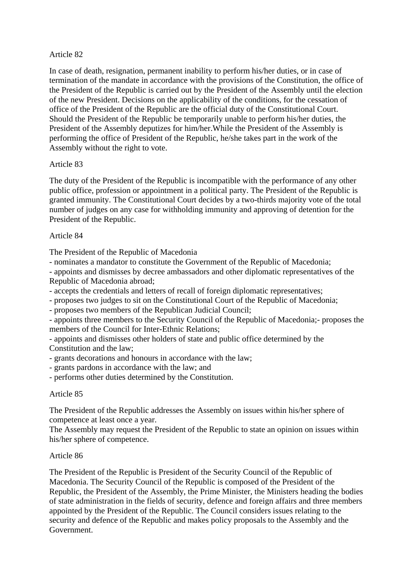## Article 82

In case of death, resignation, permanent inability to perform his/her duties, or in case of termination of the mandate in accordance with the provisions of the Constitution, the office of the President of the Republic is carried out by the President of the Assembly until the election of the new President. Decisions on the applicability of the conditions, for the cessation of office of the President of the Republic are the official duty of the Constitutional Court. Should the President of the Republic be temporarily unable to perform his/her duties, the President of the Assembly deputizes for him/her.While the President of the Assembly is performing the office of President of the Republic, he/she takes part in the work of the Assembly without the right to vote.

## Article 83

The duty of the President of the Republic is incompatible with the performance of any other public office, profession or appointment in a political party. The President of the Republic is granted immunity. The Constitutional Court decides by a two-thirds majority vote of the total number of judges on any case for withholding immunity and approving of detention for the President of the Republic.

### Article 84

The President of the Republic of Macedonia

- nominates a mandator to constitute the Government of the Republic of Macedonia;

- appoints and dismisses by decree ambassadors and other diplomatic representatives of the Republic of Macedonia abroad;

- accepts the credentials and letters of recall of foreign diplomatic representatives;
- proposes two judges to sit on the Constitutional Court of the Republic of Macedonia;
- proposes two members of the Republican Judicial Council;

- appoints three members to the Security Council of the Republic of Macedonia;- proposes the members of the Council for Inter-Ethnic Relations;

- appoints and dismisses other holders of state and public office determined by the Constitution and the law;

- grants decorations and honours in accordance with the law;
- grants pardons in accordance with the law; and
- performs other duties determined by the Constitution.

## Article 85

The President of the Republic addresses the Assembly on issues within his/her sphere of competence at least once a year.

The Assembly may request the President of the Republic to state an opinion on issues within his/her sphere of competence.

### Article 86

The President of the Republic is President of the Security Council of the Republic of Macedonia. The Security Council of the Republic is composed of the President of the Republic, the President of the Assembly, the Prime Minister, the Ministers heading the bodies of state administration in the fields of security, defence and foreign affairs and three members appointed by the President of the Republic. The Council considers issues relating to the security and defence of the Republic and makes policy proposals to the Assembly and the Government.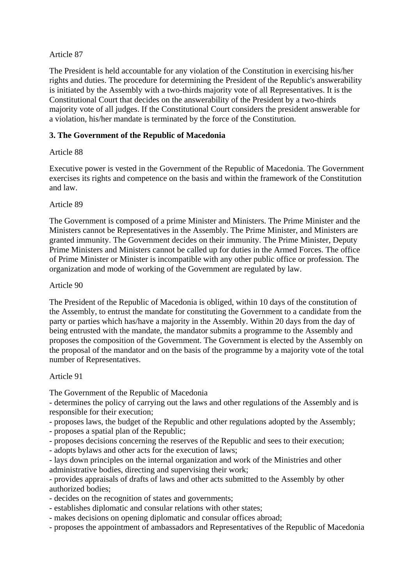## Article 87

The President is held accountable for any violation of the Constitution in exercising his/her rights and duties. The procedure for determining the President of the Republic's answerability is initiated by the Assembly with a two-thirds majority vote of all Representatives. It is the Constitutional Court that decides on the answerability of the President by a two-thirds majority vote of all judges. If the Constitutional Court considers the president answerable for a violation, his/her mandate is terminated by the force of the Constitution.

## **3. The Government of the Republic of Macedonia**

## Article 88

Executive power is vested in the Government of the Republic of Macedonia. The Government exercises its rights and competence on the basis and within the framework of the Constitution and law.

## Article 89

The Government is composed of a prime Minister and Ministers. The Prime Minister and the Ministers cannot be Representatives in the Assembly. The Prime Minister, and Ministers are granted immunity. The Government decides on their immunity. The Prime Minister, Deputy Prime Ministers and Ministers cannot be called up for duties in the Armed Forces. The office of Prime Minister or Minister is incompatible with any other public office or profession. The organization and mode of working of the Government are regulated by law.

## Article 90

The President of the Republic of Macedonia is obliged, within 10 days of the constitution of the Assembly, to entrust the mandate for constituting the Government to a candidate from the party or parties which has/have a majority in the Assembly. Within 20 days from the day of being entrusted with the mandate, the mandator submits a programme to the Assembly and proposes the composition of the Government. The Government is elected by the Assembly on the proposal of the mandator and on the basis of the programme by a majority vote of the total number of Representatives.

## Article 91

The Government of the Republic of Macedonia

- determines the policy of carrying out the laws and other regulations of the Assembly and is responsible for their execution;

- proposes laws, the budget of the Republic and other regulations adopted by the Assembly;
- proposes a spatial plan of the Republic;
- proposes decisions concerning the reserves of the Republic and sees to their execution;
- adopts bylaws and other acts for the execution of laws;
- lays down principles on the internal organization and work of the Ministries and other administrative bodies, directing and supervising their work;

- provides appraisals of drafts of laws and other acts submitted to the Assembly by other authorized bodies;

- decides on the recognition of states and governments;
- establishes diplomatic and consular relations with other states;
- makes decisions on opening diplomatic and consular offices abroad;
- proposes the appointment of ambassadors and Representatives of the Republic of Macedonia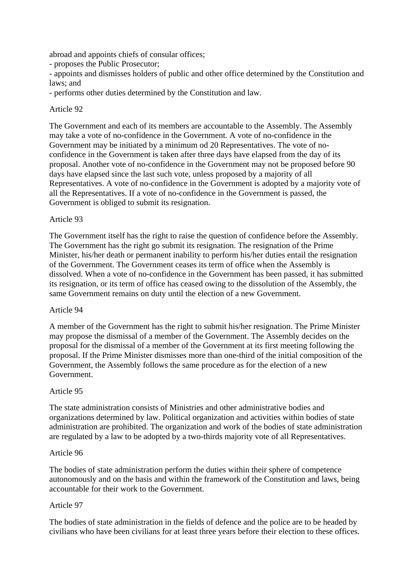abroad and appoints chiefs of consular offices;

- proposes the Public Prosecutor;

- appoints and dismisses holders of public and other office determined by the Constitution and laws; and

- performs other duties determined by the Constitution and law.

## Article 92

The Government and each of its members are accountable to the Assembly. The Assembly may take a vote of no-confidence in the Government. A vote of no-confidence in the Government may be initiated by a minimum od 20 Representatives. The vote of noconfidence in the Government is taken after three days have elapsed from the day of its proposal. Another vote of no-confidence in the Government may not be proposed before 90 days have elapsed since the last such vote, unless proposed by a majority of all Representatives. A vote of no-confidence in the Government is adopted by a majority vote of all the Representatives. If a vote of no-confidence in the Government is passed, the Government is obliged to submit its resignation.

## Article 93

The Government itself has the right to raise the question of confidence before the Assembly. The Government has the right go submit its resignation. The resignation of the Prime Minister, his/her death or permanent inability to perform his/her duties entail the resignation of the Government. The Government ceases its term of office when the Assembly is dissolved. When a vote of no-confidence in the Government has been passed, it has submitted its resignation, or its term of office has ceased owing to the dissolution of the Assembly, the same Government remains on duty until the election of a new Government.

## Article 94

A member of the Government has the right to submit his/her resignation. The Prime Minister may propose the dismissal of a member of the Government. The Assembly decides on the proposal for the dismissal of a member of the Government at its first meeting following the proposal. If the Prime Minister dismisses more than one-third of the initial composition of the Government, the Assembly follows the same procedure as for the election of a new Government.

## Article 95

The state administration consists of Ministries and other administrative bodies and organizations determined by law. Political organization and activities within bodies of state administration are prohibited. The organization and work of the bodies of state administration are regulated by a law to be adopted by a two-thirds majority vote of all Representatives.

## Article 96

The bodies of state administration perform the duties within their sphere of competence autonomously and on the basis and within the framework of the Constitution and laws, being accountable for their work to the Government.

### Article 97

The bodies of state administration in the fields of defence and the police are to be headed by civilians who have been civilians for at least three years before their election to these offices.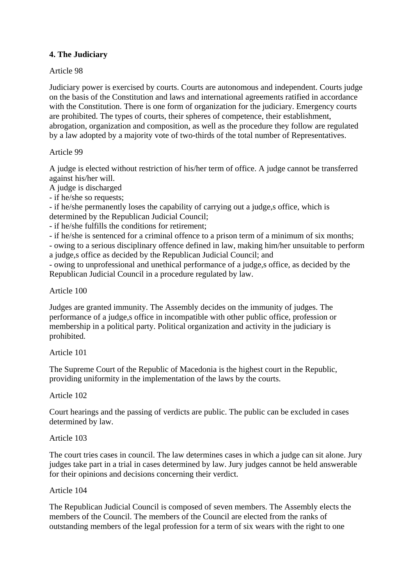## **4. The Judiciary**

## Article 98

Judiciary power is exercised by courts. Courts are autonomous and independent. Courts judge on the basis of the Constitution and laws and international agreements ratified in accordance with the Constitution. There is one form of organization for the judiciary. Emergency courts are prohibited. The types of courts, their spheres of competence, their establishment, abrogation, organization and composition, as well as the procedure they follow are regulated by a law adopted by a majority vote of two-thirds of the total number of Representatives.

## Article 99

A judge is elected without restriction of his/her term of office. A judge cannot be transferred against his/her will.

A judge is discharged

- if he/she so requests;

- if he/she permanently loses the capability of carrying out a judge,s office, which is determined by the Republican Judicial Council;

- if he/she fulfills the conditions for retirement;

- if he/she is sentenced for a criminal offence to a prison term of a minimum of six months;

- owing to a serious disciplinary offence defined in law, making him/her unsuitable to perform a judge,s office as decided by the Republican Judicial Council; and

- owing to unprofessional and unethical performance of a judge,s office, as decided by the Republican Judicial Council in a procedure regulated by law.

### Article 100

Judges are granted immunity. The Assembly decides on the immunity of judges. The performance of a judge,s office in incompatible with other public office, profession or membership in a political party. Political organization and activity in the judiciary is prohibited.

## Article 101

The Supreme Court of the Republic of Macedonia is the highest court in the Republic, providing uniformity in the implementation of the laws by the courts.

### Article 102

Court hearings and the passing of verdicts are public. The public can be excluded in cases determined by law.

### Article 103

The court tries cases in council. The law determines cases in which a judge can sit alone. Jury judges take part in a trial in cases determined by law. Jury judges cannot be held answerable for their opinions and decisions concerning their verdict.

### Article 104

The Republican Judicial Council is composed of seven members. The Assembly elects the members of the Council. The members of the Council are elected from the ranks of outstanding members of the legal profession for a term of six wears with the right to one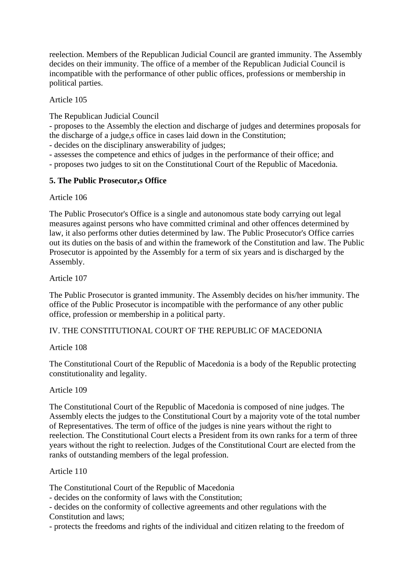reelection. Members of the Republican Judicial Council are granted immunity. The Assembly decides on their immunity. The office of a member of the Republican Judicial Council is incompatible with the performance of other public offices, professions or membership in political parties.

Article 105

The Republican Judicial Council

- proposes to the Assembly the election and discharge of judges and determines proposals for the discharge of a judge,s office in cases laid down in the Constitution;

- decides on the disciplinary answerability of judges;

- assesses the competence and ethics of judges in the performance of their office; and

- proposes two judges to sit on the Constitutional Court of the Republic of Macedonia.

# **5. The Public Prosecutor,s Office**

Article 106

The Public Prosecutor's Office is a single and autonomous state body carrying out legal measures against persons who have committed criminal and other offences determined by law, it also performs other duties determined by law. The Public Prosecutor's Office carries out its duties on the basis of and within the framework of the Constitution and law. The Public Prosecutor is appointed by the Assembly for a term of six years and is discharged by the Assembly.

Article 107

The Public Prosecutor is granted immunity. The Assembly decides on his/her immunity. The office of the Public Prosecutor is incompatible with the performance of any other public office, profession or membership in a political party.

# IV. THE CONSTITUTIONAL COURT OF THE REPUBLIC OF MACEDONIA

# Article 108

The Constitutional Court of the Republic of Macedonia is a body of the Republic protecting constitutionality and legality.

# Article 109

The Constitutional Court of the Republic of Macedonia is composed of nine judges. The Assembly elects the judges to the Constitutional Court by a majority vote of the total number of Representatives. The term of office of the judges is nine years without the right to reelection. The Constitutional Court elects a President from its own ranks for a term of three years without the right to reelection. Judges of the Constitutional Court are elected from the ranks of outstanding members of the legal profession.

# Article 110

The Constitutional Court of the Republic of Macedonia

- decides on the conformity of laws with the Constitution;

- decides on the conformity of collective agreements and other regulations with the Constitution and laws;

- protects the freedoms and rights of the individual and citizen relating to the freedom of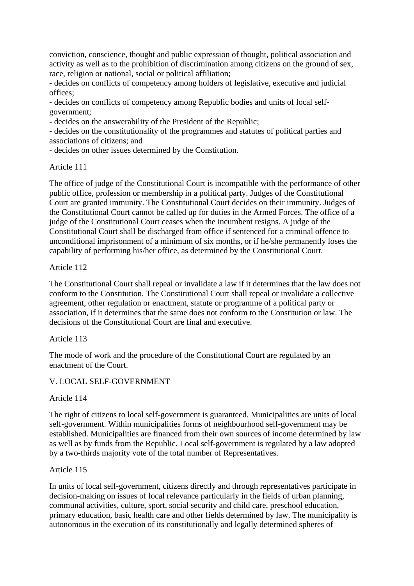conviction, conscience, thought and public expression of thought, political association and activity as well as to the prohibition of discrimination among citizens on the ground of sex, race, religion or national, social or political affiliation;

- decides on conflicts of competency among holders of legislative, executive and judicial offices;

- decides on conflicts of competency among Republic bodies and units of local selfgovernment;

- decides on the answerability of the President of the Republic;

- decides on the constitutionality of the programmes and statutes of political parties and associations of citizens; and

- decides on other issues determined by the Constitution.

### Article 111

The office of judge of the Constitutional Court is incompatible with the performance of other public office, profession or membership in a political party. Judges of the Constitutional Court are granted immunity. The Constitutional Court decides on their immunity. Judges of the Constitutional Court cannot be called up for duties in the Armed Forces. The office of a judge of the Constitutional Court ceases when the incumbent resigns. A judge of the Constitutional Court shall be discharged from office if sentenced for a criminal offence to unconditional imprisonment of a minimum of six months, or if he/she permanently loses the capability of performing his/her office, as determined by the Constitutional Court.

### Article 112

The Constitutional Court shall repeal or invalidate a law if it determines that the law does not conform to the Constitution. The Constitutional Court shall repeal or invalidate a collective agreement, other regulation or enactment, statute or programme of a political party or association, if it determines that the same does not conform to the Constitution or law. The decisions of the Constitutional Court are final and executive.

### Article 113

The mode of work and the procedure of the Constitutional Court are regulated by an enactment of the Court.

### V. LOCAL SELF-GOVERNMENT

Article 114

The right of citizens to local self-government is guaranteed. Municipalities are units of local self-government. Within municipalities forms of neighbourhood self-government may be established. Municipalities are financed from their own sources of income determined by law as well as by funds from the Republic. Local self-government is regulated by a law adopted by a two-thirds majority vote of the total number of Representatives.

## Article 115

In units of local self-government, citizens directly and through representatives participate in decision-making on issues of local relevance particularly in the fields of urban planning, communal activities, culture, sport, social security and child care, preschool education, primary education, basic health care and other fields determined by law. The municipality is autonomous in the execution of its constitutionally and legally determined spheres of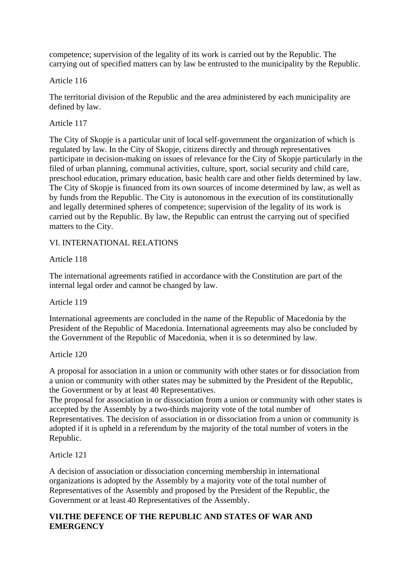competence; supervision of the legality of its work is carried out by the Republic. The carrying out of specified matters can by law be entrusted to the municipality by the Republic.

## Article 116

The territorial division of the Republic and the area administered by each municipality are defined by law.

### Article 117

The City of Skopje is a particular unit of local self-government the organization of which is regulated by law. In the City of Skopje, citizens directly and through representatives participate in decision-making on issues of relevance for the City of Skopje particularly in the filed of urban planning, communal activities, culture, sport, social security and child care, preschool education, primary education, basic health care and other fields determined by law. The City of Skopje is financed from its own sources of income determined by law, as well as by funds from the Republic. The City is autonomous in the execution of its constitutionally and legally determined spheres of competence; supervision of the legality of its work is carried out by the Republic. By law, the Republic can entrust the carrying out of specified matters to the City.

### VI. INTERNATIONAL RELATIONS

Article 118

The international agreements ratified in accordance with the Constitution are part of the internal legal order and cannot be changed by law.

### Article 119

International agreements are concluded in the name of the Republic of Macedonia by the President of the Republic of Macedonia. International agreements may also be concluded by the Government of the Republic of Macedonia, when it is so determined by law.

### Article 120

A proposal for association in a union or community with other states or for dissociation from a union or community with other states may be submitted by the President of the Republic, the Government or by at least 40 Representatives.

The proposal for association in or dissociation from a union or community with other states is accepted by the Assembly by a two-thirds majority vote of the total number of Representatives. The decision of association in or dissociation from a union or community is adopted if it is upheld in a referendum by the majority of the total number of voters in the Republic.

### Article 121

A decision of association or dissociation concerning membership in international organizations is adopted by the Assembly by a majority vote of the total number of Representatives of the Assembly and proposed by the President of the Republic, the Government or at least 40 Representatives of the Assembly.

## **VII.THE DEFENCE OF THE REPUBLIC AND STATES OF WAR AND EMERGENCY**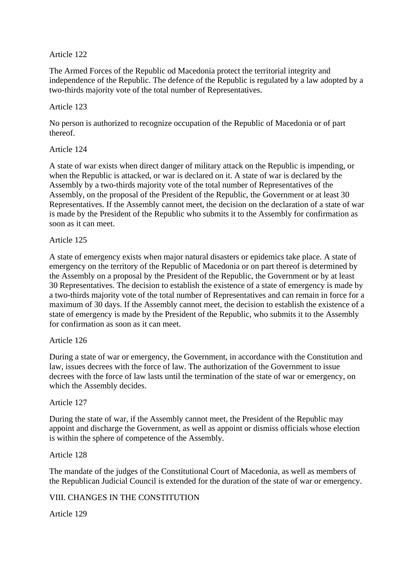## Article 122

The Armed Forces of the Republic od Macedonia protect the territorial integrity and independence of the Republic. The defence of the Republic is regulated by a law adopted by a two-thirds majority vote of the total number of Representatives.

## Article 123

No person is authorized to recognize occupation of the Republic of Macedonia or of part thereof.

### Article 124

A state of war exists when direct danger of military attack on the Republic is impending, or when the Republic is attacked, or war is declared on it. A state of war is declared by the Assembly by a two-thirds majority vote of the total number of Representatives of the Assembly, on the proposal of the President of the Republic, the Government or at least 30 Representatives. If the Assembly cannot meet, the decision on the declaration of a state of war is made by the President of the Republic who submits it to the Assembly for confirmation as soon as it can meet.

### Article 125

A state of emergency exists when major natural disasters or epidemics take place. A state of emergency on the territory of the Republic of Macedonia or on part thereof is determined by the Assembly on a proposal by the President of the Republic, the Government or by at least 30 Representatives. The decision to establish the existence of a state of emergency is made by a two-thirds majority vote of the total number of Representatives and can remain in force for a maximum of 30 days. If the Assembly cannot meet, the decision to establish the existence of a state of emergency is made by the President of the Republic, who submits it to the Assembly for confirmation as soon as it can meet.

### Article 126

During a state of war or emergency, the Government, in accordance with the Constitution and law, issues decrees with the force of law. The authorization of the Government to issue decrees with the force of law lasts until the termination of the state of war or emergency, on which the Assembly decides.

### Article 127

During the state of war, if the Assembly cannot meet, the President of the Republic may appoint and discharge the Government, as well as appoint or dismiss officials whose election is within the sphere of competence of the Assembly.

### Article 128

The mandate of the judges of the Constitutional Court of Macedonia, as well as members of the Republican Judicial Council is extended for the duration of the state of war or emergency.

## VIII. CHANGES IN THE CONSTITUTION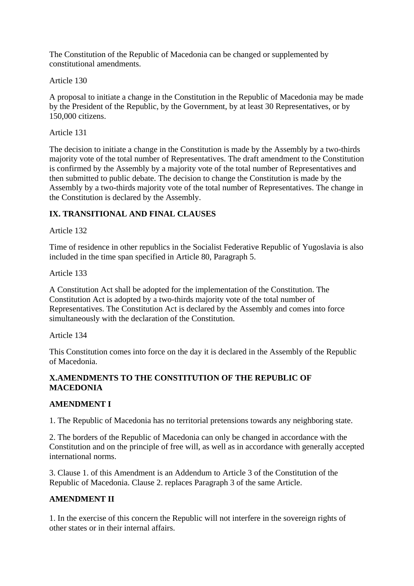The Constitution of the Republic of Macedonia can be changed or supplemented by constitutional amendments.

Article 130

A proposal to initiate a change in the Constitution in the Republic of Macedonia may be made by the President of the Republic, by the Government, by at least 30 Representatives, or by 150,000 citizens.

Article 131

The decision to initiate a change in the Constitution is made by the Assembly by a two-thirds majority vote of the total number of Representatives. The draft amendment to the Constitution is confirmed by the Assembly by a majority vote of the total number of Representatives and then submitted to public debate. The decision to change the Constitution is made by the Assembly by a two-thirds majority vote of the total number of Representatives. The change in the Constitution is declared by the Assembly.

# **IX. TRANSITIONAL AND FINAL CLAUSES**

Article 132

Time of residence in other republics in the Socialist Federative Republic of Yugoslavia is also included in the time span specified in Article 80, Paragraph 5.

Article 133

A Constitution Act shall be adopted for the implementation of the Constitution. The Constitution Act is adopted by a two-thirds majority vote of the total number of Representatives. The Constitution Act is declared by the Assembly and comes into force simultaneously with the declaration of the Constitution.

Article 134

This Constitution comes into force on the day it is declared in the Assembly of the Republic of Macedonia.

## **X.AMENDMENTS TO THE CONSTITUTION OF THE REPUBLIC OF MACEDONIA**

## **AMENDMENT I**

1. The Republic of Macedonia has no territorial pretensions towards any neighboring state.

2. The borders of the Republic of Macedonia can only be changed in accordance with the Constitution and on the principle of free will, as well as in accordance with generally accepted international norms.

3. Clause 1. of this Amendment is an Addendum to Article 3 of the Constitution of the Republic of Macedonia. Clause 2. replaces Paragraph 3 of the same Article.

## **AMENDMENT II**

1. In the exercise of this concern the Republic will not interfere in the sovereign rights of other states or in their internal affairs.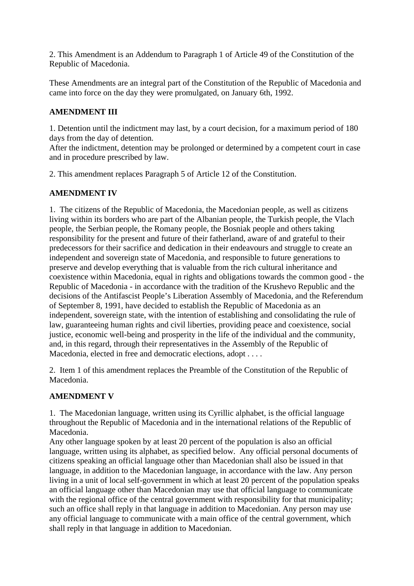2. This Amendment is an Addendum to Paragraph 1 of Article 49 of the Constitution of the Republic of Macedonia.

These Amendments are an integral part of the Constitution of the Republic of Macedonia and came into force on the day they were promulgated, on January 6th, 1992.

## **AMENDMENT III**

1. Detention until the indictment may last, by a court decision, for a maximum period of 180 days from the day of detention.

After the indictment, detention may be prolonged or determined by a competent court in case and in procedure prescribed by law.

2. This amendment replaces Paragraph 5 of Article 12 of the Constitution.

## **AMENDMENT IV**

1. The citizens of the Republic of Macedonia, the Macedonian people, as well as citizens living within its borders who are part of the Albanian people, the Turkish people, the Vlach people, the Serbian people, the Romany people, the Bosniak people and others taking responsibility for the present and future of their fatherland, aware of and grateful to their predecessors for their sacrifice and dedication in their endeavours and struggle to create an independent and sovereign state of Macedonia, and responsible to future generations to preserve and develop everything that is valuable from the rich cultural inheritance and coexistence within Macedonia, equal in rights and obligations towards the common good - the Republic of Macedonia - in accordance with the tradition of the Krushevo Republic and the decisions of the Antifascist People's Liberation Assembly of Macedonia, and the Referendum of September 8, 1991, have decided to establish the Republic of Macedonia as an independent, sovereign state, with the intention of establishing and consolidating the rule of law, guaranteeing human rights and civil liberties, providing peace and coexistence, social justice, economic well-being and prosperity in the life of the individual and the community, and, in this regard, through their representatives in the Assembly of the Republic of Macedonia, elected in free and democratic elections, adopt . . . .

2. Item 1 of this amendment replaces the Preamble of the Constitution of the Republic of Macedonia.

## **AMENDMENT V**

1. The Macedonian language, written using its Cyrillic alphabet, is the official language throughout the Republic of Macedonia and in the international relations of the Republic of Macedonia.

Any other language spoken by at least 20 percent of the population is also an official language, written using its alphabet, as specified below. Any official personal documents of citizens speaking an official language other than Macedonian shall also be issued in that language, in addition to the Macedonian language, in accordance with the law. Any person living in a unit of local self-government in which at least 20 percent of the population speaks an official language other than Macedonian may use that official language to communicate with the regional office of the central government with responsibility for that municipality; such an office shall reply in that language in addition to Macedonian. Any person may use any official language to communicate with a main office of the central government, which shall reply in that language in addition to Macedonian.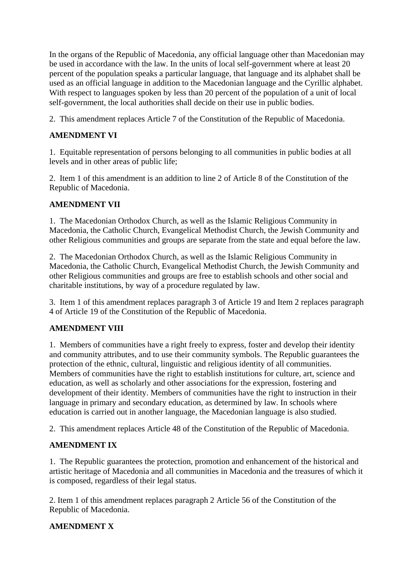In the organs of the Republic of Macedonia, any official language other than Macedonian may be used in accordance with the law. In the units of local self-government where at least 20 percent of the population speaks a particular language, that language and its alphabet shall be used as an official language in addition to the Macedonian language and the Cyrillic alphabet. With respect to languages spoken by less than 20 percent of the population of a unit of local self-government, the local authorities shall decide on their use in public bodies.

2. This amendment replaces Article 7 of the Constitution of the Republic of Macedonia.

## **AMENDMENT VI**

1. Equitable representation of persons belonging to all communities in public bodies at all levels and in other areas of public life;

2. Item 1 of this amendment is an addition to line 2 of Article 8 of the Constitution of the Republic of Macedonia.

## **AMENDMENT VII**

1. The Macedonian Orthodox Church, as well as the Islamic Religious Community in Macedonia, the Catholic Church, Evangelical Methodist Church, the Jewish Community and other Religious communities and groups are separate from the state and equal before the law.

2. The Macedonian Orthodox Church, as well as the Islamic Religious Community in Macedonia, the Catholic Church, Evangelical Methodist Church, the Jewish Community and other Religious communities and groups are free to establish schools and other social and charitable institutions, by way of a procedure regulated by law.

3. Item 1 of this amendment replaces paragraph 3 of Article 19 and Item 2 replaces paragraph 4 of Article 19 of the Constitution of the Republic of Macedonia.

# **AMENDMENT VIII**

education is carried out in another language, the Macedonian language is also studied. 1. Members of communities have a right freely to express, foster and develop their identity and community attributes, and to use their community symbols. The Republic guarantees the protection of the ethnic, cultural, linguistic and religious identity of all communities. Members of communities have the right to establish institutions for culture, art, science and education, as well as scholarly and other associations for the expression, fostering and development of their identity. Members of communities have the right to instruction in their language in primary and secondary education, as determined by law. In schools where

2. This amendment replaces Article 48 of the Constitution of the Republic of Macedonia.

# **AMENDMENT IX**

1. The Republic guarantees the protection, promotion and enhancement of the historical and artistic heritage of Macedonia and all communities in Macedonia and the treasures of which it is composed, regardless of their legal status.

2. Item 1 of this amendment replaces paragraph 2 Article 56 of the Constitution of the Republic of Macedonia.

# **AMENDMENT X**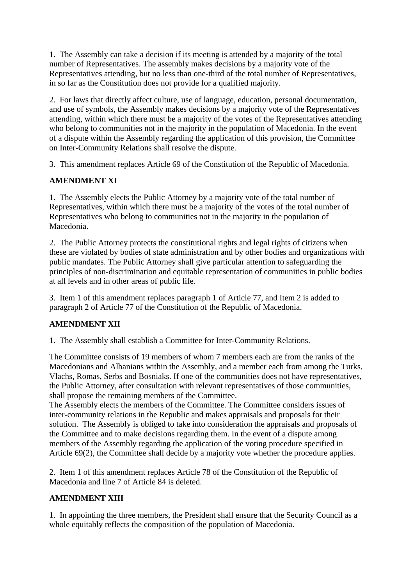1. The Assembly can take a decision if its meeting is attended by a majority of the total number of Representatives. The assembly makes decisions by a majority vote of the Representatives attending, but no less than one-third of the total number of Representatives, in so far as the Constitution does not provide for a qualified majority.

2. For laws that directly affect culture, use of language, education, personal documentation, and use of symbols, the Assembly makes decisions by a majority vote of the Representatives attending, within which there must be a majority of the votes of the Representatives attending who belong to communities not in the majority in the population of Macedonia. In the event of a dispute within the Assembly regarding the application of this provision, the Committee on Inter-Community Relations shall resolve the dispute.

3. This amendment replaces Article 69 of the Constitution of the Republic of Macedonia.

# **AMENDMENT XI**

1. The Assembly elects the Public Attorney by a majority vote of the total number of Representatives, within which there must be a majority of the votes of the total number of Representatives who belong to communities not in the majority in the population of Macedonia.

2. The Public Attorney protects the constitutional rights and legal rights of citizens when these are violated by bodies of state administration and by other bodies and organizations with public mandates. The Public Attorney shall give particular attention to safeguarding the principles of non-discrimination and equitable representation of communities in public bodies at all levels and in other areas of public life.

3. Item 1 of this amendment replaces paragraph 1 of Article 77, and Item 2 is added to paragraph 2 of Article 77 of the Constitution of the Republic of Macedonia.

# **AMENDMENT XII**

1. The Assembly shall establish a Committee for Inter-Community Relations.

The Committee consists of 19 members of whom 7 members each are from the ranks of the Macedonians and Albanians within the Assembly, and a member each from among the Turks, Vlachs, Romas, Serbs and Bosniaks. If one of the communities does not have representatives, the Public Attorney, after consultation with relevant representatives of those communities, shall propose the remaining members of the Committee.

The Assembly elects the members of the Committee. The Committee considers issues of inter-community relations in the Republic and makes appraisals and proposals for their solution. The Assembly is obliged to take into consideration the appraisals and proposals of the Committee and to make decisions regarding them. In the event of a dispute among members of the Assembly regarding the application of the voting procedure specified in Article 69(2), the Committee shall decide by a majority vote whether the procedure applies.

2. Item 1 of this amendment replaces Article 78 of the Constitution of the Republic of Macedonia and line 7 of Article 84 is deleted.

# **AMENDMENT XIII**

1. In appointing the three members, the President shall ensure that the Security Council as a whole equitably reflects the composition of the population of Macedonia.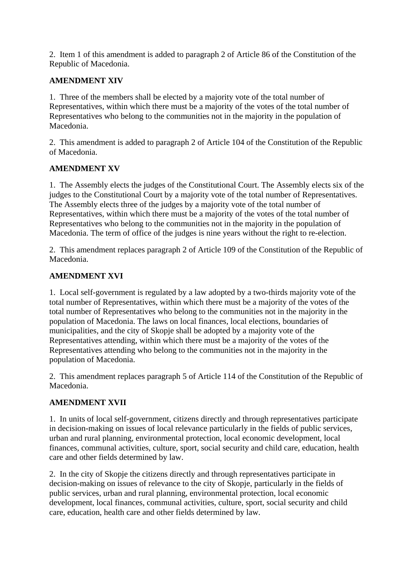2. Item 1 of this amendment is added to paragraph 2 of Article 86 of the Constitution of the Republic of Macedonia.

# **AMENDMENT XIV**

1. Three of the members shall be elected by a majority vote of the total number of Representatives, within which there must be a majority of the votes of the total number of Representatives who belong to the communities not in the majority in the population of Macedonia.

2. This amendment is added to paragraph 2 of Article 104 of the Constitution of the Republic of Macedonia.

## **AMENDMENT XV**

1. The Assembly elects the judges of the Constitutional Court. The Assembly elects six of the judges to the Constitutional Court by a majority vote of the total number of Representatives. The Assembly elects three of the judges by a majority vote of the total number of Representatives, within which there must be a majority of the votes of the total number of Representatives who belong to the communities not in the majority in the population of Macedonia. The term of office of the judges is nine years without the right to re-election.

2. This amendment replaces paragraph 2 of Article 109 of the Constitution of the Republic of Macedonia.

## **AMENDMENT XVI**

1. Local self-government is regulated by a law adopted by a two-thirds majority vote of the total number of Representatives, within which there must be a majority of the votes of the total number of Representatives who belong to the communities not in the majority in the population of Macedonia. The laws on local finances, local elections, boundaries of municipalities, and the city of Skopje shall be adopted by a majority vote of the Representatives attending, within which there must be a majority of the votes of the Representatives attending who belong to the communities not in the majority in the population of Macedonia.

2. This amendment replaces paragraph 5 of Article 114 of the Constitution of the Republic of Macedonia.

# **AMENDMENT XVII**

1. In units of local self-government, citizens directly and through representatives participate in decision-making on issues of local relevance particularly in the fields of public services, urban and rural planning, environmental protection, local economic development, local finances, communal activities, culture, sport, social security and child care, education, health care and other fields determined by law.

2. In the city of Skopje the citizens directly and through representatives participate in decision-making on issues of relevance to the city of Skopje, particularly in the fields of public services, urban and rural planning, environmental protection, local economic development, local finances, communal activities, culture, sport, social security and child care, education, health care and other fields determined by law.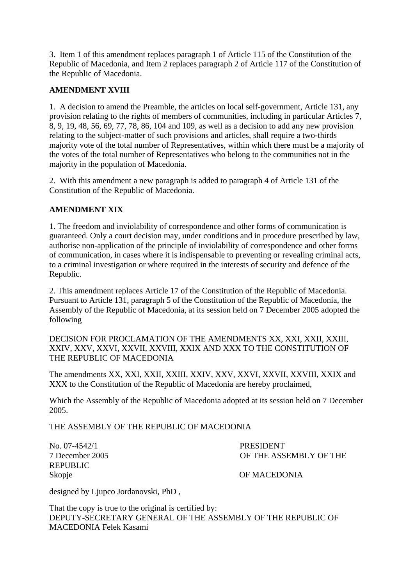3. Item 1 of this amendment replaces paragraph 1 of Article 115 of the Constitution of the Republic of Macedonia, and Item 2 replaces paragraph 2 of Article 117 of the Constitution of the Republic of Macedonia.

## **AMENDMENT XVIII**

1. A decision to amend the Preamble, the articles on local self-government, Article 131, any provision relating to the rights of members of communities, including in particular Articles 7, 8, 9, 19, 48, 56, 69, 77, 78, 86, 104 and 109, as well as a decision to add any new provision relating to the subject-matter of such provisions and articles, shall require a two-thirds majority vote of the total number of Representatives, within which there must be a majority of the votes of the total number of Representatives who belong to the communities not in the majority in the population of Macedonia.

2. With this amendment a new paragraph is added to paragraph 4 of Article 131 of the Constitution of the Republic of Macedonia.

## **AMENDMENT XIX**

1. The freedom and inviolability of correspondence and other forms of communication is guaranteed. Only a court decision may, under conditions and in procedure prescribed by law, authorise non-application of the principle of inviolability of correspondence and other forms of communication, in cases where it is indispensable to preventing or revealing criminal acts, to a criminal investigation or where required in the interests of security and defence of the Republic.

2. This amendment replaces Article 17 of the Constitution of the Republic of Macedonia. Pursuant to Article 131, paragraph 5 of the Constitution of the Republic of Macedonia, the Assembly of the Republic of Macedonia, at its session held on 7 December 2005 adopted the following

DECISION FOR PROCLAMATION OF THE AMENDMENTS XX, XXI, XXII, XXIII, XXIV, XXV, XXVI, XXVII, XXVIII, XXIX AND XXX TO THE CONSTITUTION OF THE REPUBLIC OF MACEDONIA

The amendments XX, XXI, XXII, XXIII, XXIV, XXV, XXVI, XXVII, XXVIII, XXIX and XXX to the Constitution of the Republic of Macedonia are hereby proclaimed,

Which the Assembly of the Republic of Macedonia adopted at its session held on 7 December 2005.

THE ASSEMBLY OF THE REPUBLIC OF MACEDONIA

No. 07-4542/1 PRESIDENT REPUBLIC

7 December 2005 OF THE ASSEMBLY OF THE

Skopje OF MACEDONIA

designed by Ljupco Jordanovski, PhD ,

 MACEDONIA Felek Kasami That the copy is true to the original is certified by: DEPUTY-SECRETARY GENERAL OF THE ASSEMBLY OF THE REPUBLIC OF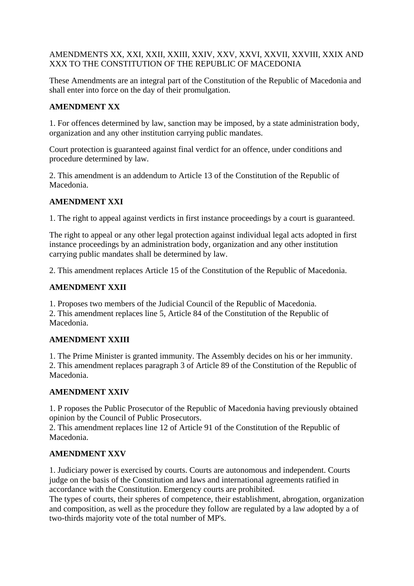## AMENDMENTS XX, XXI, XXII, XXIII, XXIV, XXV, XXVI, XXVII, XXVIII, XXIX AND XXX TO THE CONSTITUTION OF THE REPUBLIC OF MACEDONIA

These Amendments are an integral part of the Constitution of the Republic of Macedonia and shall enter into force on the day of their promulgation.

## **AMENDMENT XX**

1. For offences determined by law, sanction may be imposed, by a state administration body, organization and any other institution carrying public mandates.

Court protection is guaranteed against final verdict for an offence, under conditions and procedure determined by law.

2. This amendment is an addendum to Article 13 of the Constitution of the Republic of Macedonia.

# **AMENDMENT XXI**

1. The right to appeal against verdicts in first instance proceedings by a court is guaranteed.

The right to appeal or any other legal protection against individual legal acts adopted in first instance proceedings by an administration body, organization and any other institution carrying public mandates shall be determined by law.

2. This amendment replaces Article 15 of the Constitution of the Republic of Macedonia.

## **AMENDMENT XXII**

1. Proposes two members of the Judicial Council of the Republic of Macedonia.

2. This amendment replaces line 5, Article 84 of the Constitution of the Republic of Macedonia.

## **AMENDMENT XXIII**

1. The Prime Minister is granted immunity. The Assembly decides on his or her immunity. 2. This amendment replaces paragraph 3 of Article 89 of the Constitution of the Republic of Macedonia.

## **AMENDMENT XXIV**

1. P roposes the Public Prosecutor of the Republic of Macedonia having previously obtained opinion by the Council of Public Prosecutors.

2. This amendment replaces line 12 of Article 91 of the Constitution of the Republic of Macedonia.

## **AMENDMENT XXV**

1. Judiciary power is exercised by courts. Courts are autonomous and independent. Courts judge on the basis of the Constitution and laws and international agreements ratified in accordance with the Constitution. Emergency courts are prohibited.

The types of courts, their spheres of competence, their establishment, abrogation, organization and composition, as well as the procedure they follow are regulated by a law adopted by a of two-thirds majority vote of the total number of MP's.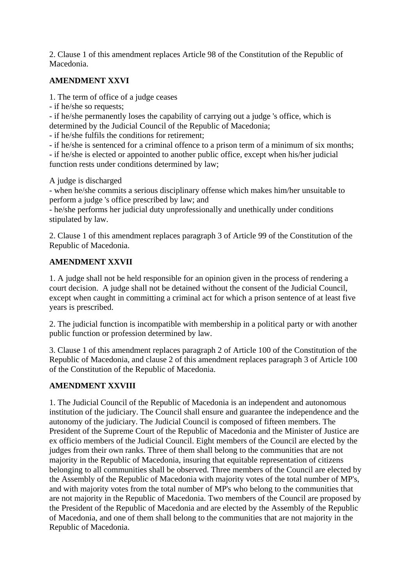2. Clause 1 of this amendment replaces Article 98 of the Constitution of the Republic of Macedonia.

## **AMENDMENT XXVI**

1. The term of office of a judge ceases

- if he/she so requests;

- if he/she permanently loses the capability of carrying out a judge 's office, which is determined by the Judicial Council of the Republic of Macedonia;

- if he/she fulfils the conditions for retirement;

- if he/she is sentenced for a criminal offence to a prison term of a minimum of six months;

- if he/she is elected or appointed to another public office, except when his/her judicial function rests under conditions determined by law;

A judge is discharged

- when he/she commits a serious disciplinary offense which makes him/her unsuitable to perform a judge 's office prescribed by law; and

- he/she performs her judicial duty unprofessionally and unethically under conditions stipulated by law.

2. Clause 1 of this amendment replaces paragraph 3 of Article 99 of the Constitution of the Republic of Macedonia.

# **AMENDMENT XXVII**

1. A judge shall not be held responsible for an opinion given in the process of rendering a court decision. A judge shall not be detained without the consent of the Judicial Council, except when caught in committing a criminal act for which a prison sentence of at least five years is prescribed.

2. The judicial function is incompatible with membership in a political party or with another public function or profession determined by law.

3. Clause 1 of this amendment replaces paragraph 2 of Article 100 of the Constitution of the Republic of Macedonia, and clause 2 of this amendment replaces paragraph 3 of Article 100 of the Constitution of the Republic of Macedonia.

# **AMENDMENT XXVIII**

1. The Judicial Council of the Republic of Macedonia is an independent and autonomous institution of the judiciary. The Council shall ensure and guarantee the independence and the autonomy of the judiciary. The Judicial Council is composed of fifteen members. The President of the Supreme Court of the Republic of Macedonia and the Minister of Justice are ex officio members of the Judicial Council. Eight members of the Council are elected by the judges from their own ranks. Three of them shall belong to the communities that are not majority in the Republic of Macedonia, insuring that equitable representation of citizens belonging to all communities shall be observed. Three members of the Council are elected by the Assembly of the Republic of Macedonia with majority votes of the total number of MP's, and with majority votes from the total number of MP's who belong to the communities that are not majority in the Republic of Macedonia. Two members of the Council are proposed by the President of the Republic of Macedonia and are elected by the Assembly of the Republic of Macedonia, and one of them shall belong to the communities that are not majority in the Republic of Macedonia.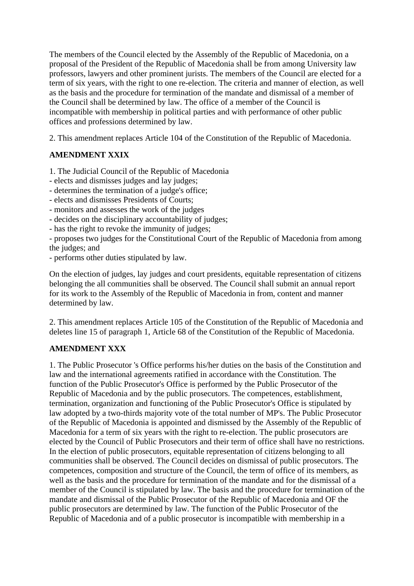The members of the Council elected by the Assembly of the Republic of Macedonia, on a proposal of the President of the Republic of Macedonia shall be from among University law professors, lawyers and other prominent jurists. The members of the Council are elected for a term of six years, with the right to one re-election. The criteria and manner of election, as well as the basis and the procedure for termination of the mandate and dismissal of a member of the Council shall be determined by law. The office of a member of the Council is incompatible with membership in political parties and with performance of other public offices and professions determined by law.

2. This amendment replaces Article 104 of the Constitution of the Republic of Macedonia.

# **AMENDMENT XXIX**

1. The Judicial Council of the Republic of Macedonia

- elects and dismisses judges and lay judges;
- determines the termination of a judge's office;
- elects and dismisses Presidents of Courts;
- monitors and assesses the work of the judges
- decides on the disciplinary accountability of judges;
- has the right to revoke the immunity of judges;

- proposes two judges for the Constitutional Court of the Republic of Macedonia from among the judges; and

- performs other duties stipulated by law.

On the election of judges, lay judges and court presidents, equitable representation of citizens belonging the all communities shall be observed. The Council shall submit an annual report for its work to the Assembly of the Republic of Macedonia in from, content and manner determined by law.

2. This amendment replaces Article 105 of the Constitution of the Republic of Macedonia and deletes line 15 of paragraph 1, Article 68 of the Constitution of the Republic of Macedonia.

## **AMENDMENT XXX**

1. The Public Prosecutor 's Office performs his/her duties on the basis of the Constitution and law and the international agreements ratified in accordance with the Constitution. The function of the Public Prosecutor's Office is performed by the Public Prosecutor of the Republic of Macedonia and by the public prosecutors. The competences, establishment, termination, organization and functioning of the Public Prosecutor's Office is stipulated by law adopted by a two-thirds majority vote of the total number of MP's. The Public Prosecutor of the Republic of Macedonia is appointed and dismissed by the Assembly of the Republic of Macedonia for a term of six years with the right to re-election. The public prosecutors are elected by the Council of Public Prosecutors and their term of office shall have no restrictions. In the election of public prosecutors, equitable representation of citizens belonging to all communities shall be observed. The Council decides on dismissal of public prosecutors. The competences, composition and structure of the Council, the term of office of its members, as well as the basis and the procedure for termination of the mandate and for the dismissal of a member of the Council is stipulated by law. The basis and the procedure for termination of the mandate and dismissal of the Public Prosecutor of the Republic of Macedonia and OF the public prosecutors are determined by law. The function of the Public Prosecutor of the Republic of Macedonia and of a public prosecutor is incompatible with membership in a